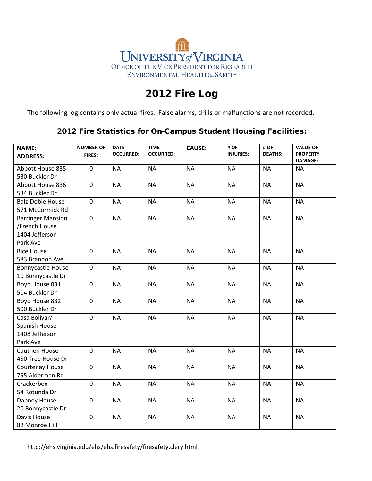

## 2012 Fire Log

The following log contains only actual fires. False alarms, drills or malfunctions are not recorded.

## 2012 Fire Statistics for On-Campus Student Housing Facilities:

| <b>NAME:</b>             | <b>NUMBER OF</b> | <b>DATE</b><br><b>OCCURRED:</b> | <b>TIME</b><br><b>OCCURRED:</b> | <b>CAUSE:</b> | # OF<br><b>INJURIES:</b> | #OF<br><b>DEATHS:</b> | <b>VALUE OF</b><br><b>PROPERTY</b> |
|--------------------------|------------------|---------------------------------|---------------------------------|---------------|--------------------------|-----------------------|------------------------------------|
| <b>ADDRESS:</b>          | <b>FIRES:</b>    |                                 |                                 |               |                          |                       | <b>DAMAGE:</b>                     |
| Abbott House 835         | $\mathbf 0$      | <b>NA</b>                       | <b>NA</b>                       | <b>NA</b>     | <b>NA</b>                | <b>NA</b>             | <b>NA</b>                          |
| 530 Buckler Dr           |                  |                                 |                                 |               |                          |                       |                                    |
| Abbott House 836         | $\mathbf 0$      | <b>NA</b>                       | <b>NA</b>                       | <b>NA</b>     | <b>NA</b>                | <b>NA</b>             | <b>NA</b>                          |
| 534 Buckler Dr           |                  |                                 |                                 |               |                          |                       |                                    |
| <b>Balz-Dobie House</b>  | $\mathbf 0$      | <b>NA</b>                       | <b>NA</b>                       | <b>NA</b>     | <b>NA</b>                | <b>NA</b>             | <b>NA</b>                          |
| 571 McCormick Rd         |                  |                                 |                                 |               |                          |                       |                                    |
| <b>Barringer Mansion</b> | $\boldsymbol{0}$ | <b>NA</b>                       | <b>NA</b>                       | <b>NA</b>     | <b>NA</b>                | <b>NA</b>             | <b>NA</b>                          |
| /French House            |                  |                                 |                                 |               |                          |                       |                                    |
| 1404 Jefferson           |                  |                                 |                                 |               |                          |                       |                                    |
| Park Ave                 |                  |                                 |                                 |               |                          |                       |                                    |
| <b>Bice House</b>        | $\mathbf 0$      | <b>NA</b>                       | <b>NA</b>                       | <b>NA</b>     | <b>NA</b>                | <b>NA</b>             | <b>NA</b>                          |
| 583 Brandon Ave          |                  |                                 |                                 |               |                          |                       |                                    |
| <b>Bonnycastle House</b> | $\mathbf 0$      | <b>NA</b>                       | <b>NA</b>                       | <b>NA</b>     | <b>NA</b>                | <b>NA</b>             | <b>NA</b>                          |
| 10 Bonnycastle Dr        |                  |                                 |                                 |               |                          |                       |                                    |
| Boyd House 831           | $\mathbf 0$      | <b>NA</b>                       | <b>NA</b>                       | <b>NA</b>     | <b>NA</b>                | <b>NA</b>             | <b>NA</b>                          |
| 504 Buckler Dr           |                  |                                 |                                 |               |                          |                       |                                    |
| Boyd House 832           | $\mathbf 0$      | <b>NA</b>                       | <b>NA</b>                       | <b>NA</b>     | <b>NA</b>                | <b>NA</b>             | <b>NA</b>                          |
| 500 Buckler Dr           |                  |                                 |                                 |               |                          |                       |                                    |
| Casa Bolivar/            | $\mathbf 0$      | <b>NA</b>                       | <b>NA</b>                       | <b>NA</b>     | <b>NA</b>                | <b>NA</b>             | <b>NA</b>                          |
| Spanish House            |                  |                                 |                                 |               |                          |                       |                                    |
| 1408 Jefferson           |                  |                                 |                                 |               |                          |                       |                                    |
| Park Ave                 |                  |                                 |                                 |               |                          |                       |                                    |
| Cauthen House            | $\boldsymbol{0}$ | <b>NA</b>                       | <b>NA</b>                       | <b>NA</b>     | <b>NA</b>                | <b>NA</b>             | <b>NA</b>                          |
| 450 Tree House Dr        |                  |                                 |                                 |               |                          |                       |                                    |
| Courtenay House          | $\overline{0}$   | <b>NA</b>                       | <b>NA</b>                       | <b>NA</b>     | <b>NA</b>                | <b>NA</b>             | <b>NA</b>                          |
| 795 Alderman Rd          |                  |                                 |                                 |               |                          |                       |                                    |
| Crackerbox               | $\mathbf 0$      | <b>NA</b>                       | <b>NA</b>                       | <b>NA</b>     | <b>NA</b>                | <b>NA</b>             | <b>NA</b>                          |
| 54 Rotunda Dr            |                  |                                 |                                 |               |                          |                       |                                    |
| Dabney House             | $\boldsymbol{0}$ | <b>NA</b>                       | <b>NA</b>                       | <b>NA</b>     | <b>NA</b>                | <b>NA</b>             | <b>NA</b>                          |
| 20 Bonnycastle Dr        |                  |                                 |                                 |               |                          |                       |                                    |
| Davis House              | $\mathbf 0$      | <b>NA</b>                       | <b>NA</b>                       | <b>NA</b>     | <b>NA</b>                | <b>NA</b>             | <b>NA</b>                          |
| 82 Monroe Hill           |                  |                                 |                                 |               |                          |                       |                                    |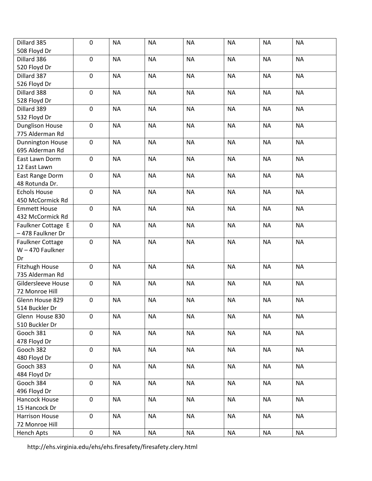| Dillard 385             | $\pmb{0}$        | <b>NA</b> | <b>NA</b> | <b>NA</b> | <b>NA</b> | <b>NA</b> | <b>NA</b> |
|-------------------------|------------------|-----------|-----------|-----------|-----------|-----------|-----------|
| 508 Floyd Dr            |                  |           |           |           |           |           |           |
| Dillard 386             | $\mathbf 0$      | <b>NA</b> | <b>NA</b> | <b>NA</b> | <b>NA</b> | <b>NA</b> | <b>NA</b> |
| 520 Floyd Dr            |                  |           |           |           |           |           |           |
| Dillard 387             | $\pmb{0}$        | <b>NA</b> | <b>NA</b> | <b>NA</b> | <b>NA</b> | <b>NA</b> | <b>NA</b> |
| 526 Floyd Dr            |                  |           |           |           |           |           |           |
| Dillard 388             | $\pmb{0}$        | <b>NA</b> | <b>NA</b> | <b>NA</b> | <b>NA</b> | <b>NA</b> | <b>NA</b> |
| 528 Floyd Dr            |                  |           |           |           |           |           |           |
| Dillard 389             | $\pmb{0}$        | <b>NA</b> | <b>NA</b> | <b>NA</b> | <b>NA</b> | <b>NA</b> | <b>NA</b> |
| 532 Floyd Dr            |                  |           |           |           |           |           |           |
| <b>Dunglison House</b>  | $\pmb{0}$        | <b>NA</b> | <b>NA</b> | <b>NA</b> | <b>NA</b> | <b>NA</b> | <b>NA</b> |
| 775 Alderman Rd         |                  |           |           |           |           |           |           |
| Dunnington House        | $\pmb{0}$        | <b>NA</b> | <b>NA</b> | <b>NA</b> | <b>NA</b> | <b>NA</b> | <b>NA</b> |
| 695 Alderman Rd         |                  |           |           |           |           |           |           |
| East Lawn Dorm          | $\pmb{0}$        | <b>NA</b> | <b>NA</b> | <b>NA</b> | <b>NA</b> | <b>NA</b> | <b>NA</b> |
| 12 East Lawn            |                  |           |           |           |           |           |           |
| East Range Dorm         | $\pmb{0}$        | <b>NA</b> | <b>NA</b> | <b>NA</b> | <b>NA</b> | <b>NA</b> | <b>NA</b> |
| 48 Rotunda Dr.          |                  |           |           |           |           |           |           |
| <b>Echols House</b>     | $\mathbf 0$      | <b>NA</b> | <b>NA</b> | <b>NA</b> | <b>NA</b> | <b>NA</b> | <b>NA</b> |
| 450 McCormick Rd        |                  |           |           |           |           |           |           |
| <b>Emmett House</b>     | $\mathbf 0$      | <b>NA</b> | <b>NA</b> | <b>NA</b> | <b>NA</b> | <b>NA</b> | <b>NA</b> |
| 432 McCormick Rd        |                  |           |           |           |           |           |           |
| Faulkner Cottage E      | $\pmb{0}$        | <b>NA</b> | <b>NA</b> | <b>NA</b> | <b>NA</b> | <b>NA</b> | <b>NA</b> |
| -478 Faulkner Dr        |                  |           |           |           |           |           |           |
| <b>Faulkner Cottage</b> | $\pmb{0}$        | <b>NA</b> | <b>NA</b> | <b>NA</b> | <b>NA</b> | <b>NA</b> | <b>NA</b> |
| $W - 470$ Faulkner      |                  |           |           |           |           |           |           |
| Dr                      |                  |           |           |           |           |           |           |
| Fitzhugh House          | $\mathbf 0$      | <b>NA</b> | <b>NA</b> | <b>NA</b> | <b>NA</b> | <b>NA</b> | <b>NA</b> |
| 735 Alderman Rd         |                  |           |           |           |           |           |           |
| Gildersleeve House      | $\pmb{0}$        | <b>NA</b> | <b>NA</b> | <b>NA</b> | <b>NA</b> | <b>NA</b> | <b>NA</b> |
| 72 Monroe Hill          |                  |           |           |           |           |           |           |
| Glenn House 829         | $\mathbf 0$      | <b>NA</b> | <b>NA</b> | <b>NA</b> | <b>NA</b> | <b>NA</b> | <b>NA</b> |
| 514 Buckler Dr          |                  |           |           |           |           |           |           |
| Glenn House 830         | $\mathbf 0$      | <b>NA</b> | <b>NA</b> | <b>NA</b> | <b>NA</b> | $\sf NA$  | <b>NA</b> |
| 510 Buckler Dr          |                  |           |           |           |           |           |           |
| Gooch 381               | $\pmb{0}$        | <b>NA</b> | <b>NA</b> | <b>NA</b> | <b>NA</b> | <b>NA</b> | <b>NA</b> |
| 478 Floyd Dr            |                  |           |           |           |           |           |           |
| Gooch 382               | $\pmb{0}$        | <b>NA</b> | <b>NA</b> | <b>NA</b> | <b>NA</b> | <b>NA</b> | <b>NA</b> |
| 480 Floyd Dr            |                  |           |           |           |           |           |           |
| Gooch 383               | $\mathbf 0$      | <b>NA</b> | <b>NA</b> | <b>NA</b> | <b>NA</b> | <b>NA</b> | <b>NA</b> |
| 484 Floyd Dr            |                  |           |           |           |           |           |           |
| Gooch 384               | $\pmb{0}$        | <b>NA</b> | <b>NA</b> | <b>NA</b> | <b>NA</b> | <b>NA</b> | <b>NA</b> |
| 496 Floyd Dr            |                  |           |           |           |           |           |           |
| Hancock House           | $\boldsymbol{0}$ | <b>NA</b> | <b>NA</b> | <b>NA</b> | <b>NA</b> | <b>NA</b> | <b>NA</b> |
| 15 Hancock Dr           |                  |           |           |           |           |           |           |
| Harrison House          | $\mathbf 0$      | <b>NA</b> | <b>NA</b> | <b>NA</b> | <b>NA</b> | <b>NA</b> | <b>NA</b> |
| 72 Monroe Hill          |                  |           |           |           |           |           |           |
| <b>Hench Apts</b>       | $\pmb{0}$        | <b>NA</b> | <b>NA</b> | <b>NA</b> | <b>NA</b> | <b>NA</b> | <b>NA</b> |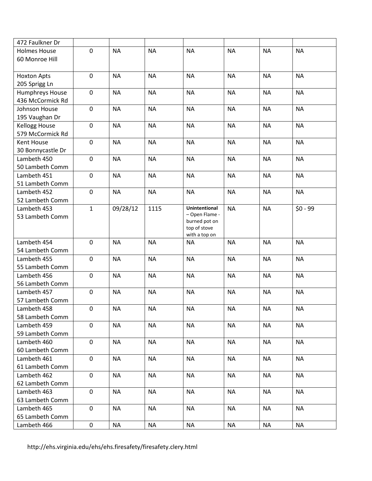| 472 Faulkner Dr      |                  |           |           |                               |           |           |           |
|----------------------|------------------|-----------|-----------|-------------------------------|-----------|-----------|-----------|
| <b>Holmes House</b>  | $\mathbf 0$      | <b>NA</b> | <b>NA</b> | <b>NA</b>                     | <b>NA</b> | <b>NA</b> | <b>NA</b> |
| 60 Monroe Hill       |                  |           |           |                               |           |           |           |
|                      |                  |           |           |                               |           |           |           |
| <b>Hoxton Apts</b>   | $\boldsymbol{0}$ | <b>NA</b> | <b>NA</b> | <b>NA</b>                     | <b>NA</b> | <b>NA</b> | <b>NA</b> |
| 205 Sprigg Ln        |                  |           |           |                               |           |           |           |
| Humphreys House      | $\mathbf 0$      | <b>NA</b> | <b>NA</b> | <b>NA</b>                     | <b>NA</b> | <b>NA</b> | <b>NA</b> |
| 436 McCormick Rd     |                  |           |           |                               |           |           |           |
| <b>Johnson House</b> | $\pmb{0}$        | <b>NA</b> | <b>NA</b> | <b>NA</b>                     | <b>NA</b> | <b>NA</b> | <b>NA</b> |
| 195 Vaughan Dr       |                  |           |           |                               |           |           |           |
| Kellogg House        | $\pmb{0}$        | <b>NA</b> | <b>NA</b> | <b>NA</b>                     | <b>NA</b> | <b>NA</b> | <b>NA</b> |
| 579 McCormick Rd     |                  |           |           |                               |           |           |           |
| <b>Kent House</b>    | $\mathbf 0$      | <b>NA</b> | <b>NA</b> | <b>NA</b>                     | <b>NA</b> | <b>NA</b> | <b>NA</b> |
| 30 Bonnycastle Dr    |                  |           |           |                               |           |           |           |
| Lambeth 450          | $\mathbf 0$      | <b>NA</b> | <b>NA</b> | <b>NA</b>                     | <b>NA</b> | <b>NA</b> | <b>NA</b> |
| 50 Lambeth Comm      |                  |           |           |                               |           |           |           |
| Lambeth 451          | $\mathbf 0$      | <b>NA</b> | <b>NA</b> | <b>NA</b>                     | <b>NA</b> | <b>NA</b> | <b>NA</b> |
| 51 Lambeth Comm      |                  |           |           |                               |           |           |           |
| Lambeth 452          | $\pmb{0}$        | <b>NA</b> | <b>NA</b> | <b>NA</b>                     | <b>NA</b> | <b>NA</b> | <b>NA</b> |
| 52 Lambeth Comm      |                  |           |           |                               |           |           |           |
| Lambeth 453          | $\mathbf{1}$     | 09/28/12  | 1115      | <b>Unintentional</b>          | <b>NA</b> | <b>NA</b> | $$0 - 99$ |
| 53 Lambeth Comm      |                  |           |           | - Open Flame -                |           |           |           |
|                      |                  |           |           | burned pot on<br>top of stove |           |           |           |
|                      |                  |           |           | with a top on                 |           |           |           |
| Lambeth 454          | $\mathbf 0$      | <b>NA</b> | <b>NA</b> | <b>NA</b>                     | <b>NA</b> | <b>NA</b> | <b>NA</b> |
| 54 Lambeth Comm      |                  |           |           |                               |           |           |           |
| Lambeth 455          | $\mathbf 0$      | <b>NA</b> | <b>NA</b> | <b>NA</b>                     | <b>NA</b> | <b>NA</b> | <b>NA</b> |
| 55 Lambeth Comm      |                  |           |           |                               |           |           |           |
| Lambeth 456          | $\mathbf 0$      | <b>NA</b> | <b>NA</b> | <b>NA</b>                     | <b>NA</b> | <b>NA</b> | <b>NA</b> |
| 56 Lambeth Comm      |                  |           |           |                               |           |           |           |
| Lambeth 457          | $\mathbf 0$      | <b>NA</b> | <b>NA</b> | <b>NA</b>                     | <b>NA</b> | <b>NA</b> | <b>NA</b> |
| 57 Lambeth Comm      |                  |           |           |                               |           |           |           |
| Lambeth 458          | 0                | <b>NA</b> | <b>NA</b> | <b>NA</b>                     | <b>NA</b> | <b>NA</b> | <b>NA</b> |
| 58 Lambeth Comm      |                  |           |           |                               |           |           |           |
| Lambeth 459          | $\mathbf 0$      | <b>NA</b> | <b>NA</b> | <b>NA</b>                     | <b>NA</b> | <b>NA</b> | <b>NA</b> |
| 59 Lambeth Comm      |                  |           |           |                               |           |           |           |
| Lambeth 460          | $\mathbf 0$      | <b>NA</b> | <b>NA</b> | <b>NA</b>                     | <b>NA</b> | <b>NA</b> | <b>NA</b> |
| 60 Lambeth Comm      |                  |           |           |                               |           |           |           |
| Lambeth 461          | $\mathbf 0$      | <b>NA</b> | <b>NA</b> | <b>NA</b>                     | <b>NA</b> | <b>NA</b> | <b>NA</b> |
| 61 Lambeth Comm      |                  |           |           |                               |           |           |           |
| Lambeth 462          | $\mathbf 0$      | <b>NA</b> | <b>NA</b> | <b>NA</b>                     | <b>NA</b> | <b>NA</b> | <b>NA</b> |
| 62 Lambeth Comm      |                  |           |           |                               |           |           |           |
| Lambeth 463          | $\mathbf 0$      | <b>NA</b> | <b>NA</b> | <b>NA</b>                     | <b>NA</b> | <b>NA</b> | <b>NA</b> |
| 63 Lambeth Comm      |                  |           |           |                               |           |           |           |
| Lambeth 465          | $\mathbf 0$      | <b>NA</b> | <b>NA</b> | <b>NA</b>                     | <b>NA</b> | <b>NA</b> | <b>NA</b> |
| 65 Lambeth Comm      |                  |           |           |                               |           |           |           |
| Lambeth 466          | $\mathbf 0$      | $\sf NA$  | <b>NA</b> | <b>NA</b>                     | <b>NA</b> | <b>NA</b> | <b>NA</b> |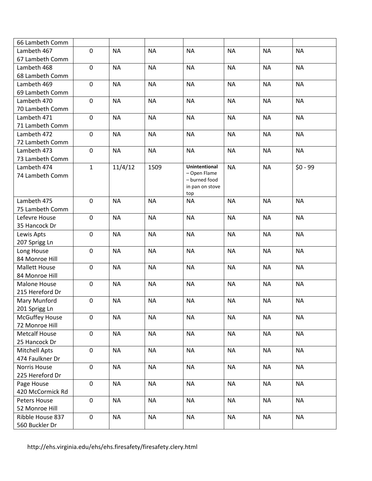| 66 Lambeth Comm                       |                  |           |           |                               |           |           |           |
|---------------------------------------|------------------|-----------|-----------|-------------------------------|-----------|-----------|-----------|
| Lambeth 467                           | $\mathbf 0$      | <b>NA</b> | <b>NA</b> | <b>NA</b>                     | <b>NA</b> | <b>NA</b> | <b>NA</b> |
| 67 Lambeth Comm                       |                  |           |           |                               |           |           |           |
| Lambeth 468                           | $\pmb{0}$        | <b>NA</b> | <b>NA</b> | <b>NA</b>                     | <b>NA</b> | <b>NA</b> | <b>NA</b> |
| 68 Lambeth Comm                       |                  |           |           |                               |           |           |           |
| Lambeth 469                           | 0                | <b>NA</b> | <b>NA</b> | <b>NA</b>                     | <b>NA</b> | <b>NA</b> | <b>NA</b> |
| 69 Lambeth Comm                       |                  |           |           |                               |           |           |           |
| Lambeth 470                           | $\pmb{0}$        | <b>NA</b> | <b>NA</b> | <b>NA</b>                     | <b>NA</b> | <b>NA</b> | <b>NA</b> |
| 70 Lambeth Comm                       |                  |           |           |                               |           |           |           |
| Lambeth 471                           | $\mathbf 0$      | <b>NA</b> | <b>NA</b> | <b>NA</b>                     | <b>NA</b> | <b>NA</b> | <b>NA</b> |
| 71 Lambeth Comm                       |                  |           |           |                               |           |           |           |
| Lambeth 472                           | $\mathbf 0$      | <b>NA</b> | <b>NA</b> | <b>NA</b>                     | <b>NA</b> | <b>NA</b> | <b>NA</b> |
| 72 Lambeth Comm                       |                  |           |           |                               |           |           |           |
| Lambeth 473                           | 0                | <b>NA</b> | <b>NA</b> | <b>NA</b>                     | <b>NA</b> | <b>NA</b> | <b>NA</b> |
| 73 Lambeth Comm                       |                  |           |           |                               |           |           |           |
| Lambeth 474                           | $\mathbf{1}$     | 11/4/12   | 1509      | <b>Unintentional</b>          | <b>NA</b> | <b>NA</b> | $$0 - 99$ |
| 74 Lambeth Comm                       |                  |           |           | - Open Flame<br>- burned food |           |           |           |
|                                       |                  |           |           | in pan on stove               |           |           |           |
|                                       |                  |           |           | top                           |           |           |           |
| Lambeth 475                           | $\mathbf 0$      | <b>NA</b> | <b>NA</b> | <b>NA</b>                     | <b>NA</b> | <b>NA</b> | <b>NA</b> |
| 75 Lambeth Comm                       |                  |           |           |                               |           |           |           |
| Lefevre House                         | $\mathbf 0$      | <b>NA</b> | <b>NA</b> | <b>NA</b>                     | <b>NA</b> | <b>NA</b> | <b>NA</b> |
| 35 Hancock Dr                         |                  |           |           |                               |           |           |           |
| Lewis Apts                            | $\pmb{0}$        | <b>NA</b> | <b>NA</b> | <b>NA</b>                     | <b>NA</b> | <b>NA</b> | <b>NA</b> |
| 207 Sprigg Ln                         |                  |           |           |                               |           |           |           |
| Long House                            | $\mathbf 0$      | <b>NA</b> | <b>NA</b> | <b>NA</b>                     | <b>NA</b> | <b>NA</b> | <b>NA</b> |
| 84 Monroe Hill                        |                  |           |           |                               |           |           |           |
| <b>Mallett House</b>                  | $\mathbf 0$      | <b>NA</b> | <b>NA</b> | <b>NA</b>                     | <b>NA</b> | <b>NA</b> | <b>NA</b> |
| 84 Monroe Hill                        |                  |           |           |                               |           |           |           |
| <b>Malone House</b>                   | $\mathbf 0$      | <b>NA</b> | <b>NA</b> | <b>NA</b>                     | <b>NA</b> | <b>NA</b> | <b>NA</b> |
| 215 Hereford Dr                       |                  |           |           |                               |           |           |           |
| Mary Munford                          | $\mathbf 0$      | <b>NA</b> | <b>NA</b> | <b>NA</b>                     | <b>NA</b> | <b>NA</b> | <b>NA</b> |
| 201 Sprigg Ln                         |                  |           |           |                               |           |           |           |
| <b>McGuffey House</b>                 | 0                | <b>NA</b> | <b>NA</b> | <b>NA</b>                     | <b>NA</b> | <b>NA</b> | <b>NA</b> |
| 72 Monroe Hill                        |                  |           |           |                               |           |           |           |
| <b>Metcalf House</b>                  | $\mathbf 0$      | <b>NA</b> | <b>NA</b> | <b>NA</b>                     | <b>NA</b> | <b>NA</b> | <b>NA</b> |
| 25 Hancock Dr                         |                  |           |           |                               |           |           |           |
| <b>Mitchell Apts</b>                  | $\pmb{0}$        | <b>NA</b> | <b>NA</b> | <b>NA</b>                     | <b>NA</b> | <b>NA</b> | <b>NA</b> |
| 474 Faulkner Dr                       |                  |           |           |                               |           |           |           |
| Norris House<br>225 Hereford Dr       | $\mathbf 0$      | <b>NA</b> | <b>NA</b> | <b>NA</b>                     | <b>NA</b> | <b>NA</b> | <b>NA</b> |
|                                       |                  |           |           |                               |           |           |           |
| Page House                            | $\mathbf 0$      | <b>NA</b> | <b>NA</b> | <b>NA</b>                     | <b>NA</b> | <b>NA</b> | <b>NA</b> |
| 420 McCormick Rd                      |                  |           |           |                               |           |           |           |
| <b>Peters House</b><br>52 Monroe Hill | $\boldsymbol{0}$ | <b>NA</b> | <b>NA</b> | <b>NA</b>                     | <b>NA</b> | <b>NA</b> | <b>NA</b> |
| Ribble House 837                      | $\mathbf 0$      | <b>NA</b> |           | <b>NA</b>                     | <b>NA</b> | <b>NA</b> |           |
|                                       |                  |           | <b>NA</b> |                               |           |           | <b>NA</b> |
| 560 Buckler Dr                        |                  |           |           |                               |           |           |           |